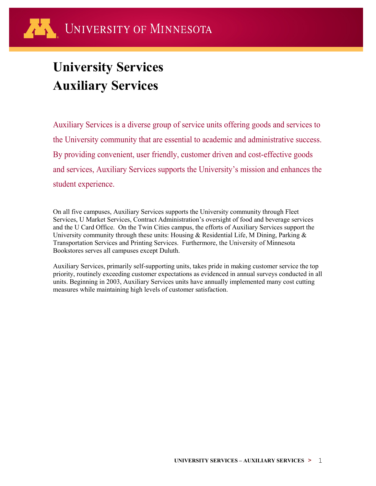# **University Services Auxiliary Services**

Auxiliary Services is a diverse group of service units offering goods and services to the University community that are essential to academic and administrative success. By providing convenient, user friendly, customer driven and cost-effective goods and services, Auxiliary Services supports the University's mission and enhances the student experience.

On all five campuses, Auxiliary Services supports the University community through Fleet Services, U Market Services, Contract Administration's oversight of food and beverage services and the U Card Office. On the Twin Cities campus, the efforts of Auxiliary Services support the University community through these units: Housing & Residential Life, M Dining, Parking & Transportation Services and Printing Services. Furthermore, the University of Minnesota Bookstores serves all campuses except Duluth.

Auxiliary Services, primarily self-supporting units, takes pride in making customer service the top priority, routinely exceeding customer expectations as evidenced in annual surveys conducted in all units. Beginning in 2003, Auxiliary Services units have annually implemented many cost cutting measures while maintaining high levels of customer satisfaction.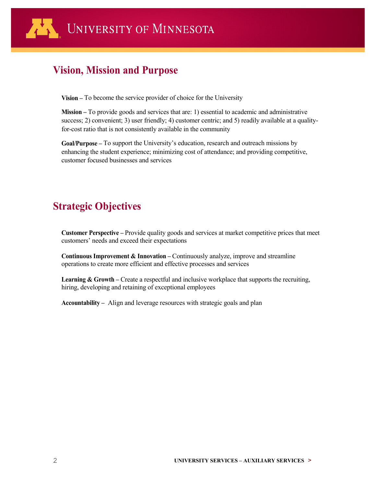

### **Vision, Mission and Purpose**

**Vision –** To become the service provider of choice for the University

**Mission –** To provide goods and services that are: 1) essential to academic and administrative success; 2) convenient; 3) user friendly; 4) customer centric; and 5) readily available at a qualityfor-cost ratio that is not consistently available in the community

**Goal/Purpose –** To support the University's education, research and outreach missions by enhancing the student experience; minimizing cost of attendance; and providing competitive, customer focused businesses and services

### **Strategic Objectives**

**Customer Perspective –** Provide quality goods and services at market competitive prices that meet customers' needs and exceed their expectations

**Continuous Improvement & Innovation –** Continuously analyze, improve and streamline operations to create more efficient and effective processes and services

Learning & Growth – Create a respectful and inclusive workplace that supports the recruiting, hiring, developing and retaining of exceptional employees

**Accountability –** Align and leverage resources with strategic goals and plan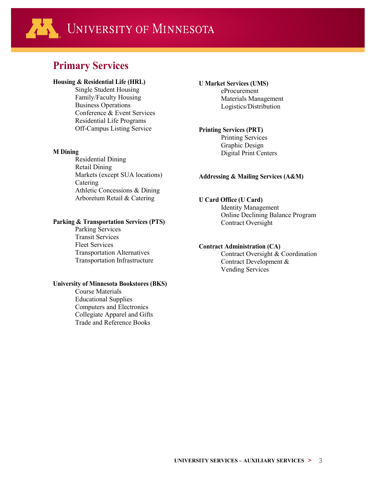### 小 UNIVERSITY OF MINNESOTA

### **Primary Services**

#### **Housing & Residential Life (HRL)**

Single Student Housing Family/Faculty Housing Business Operations Conference & Event Services Residential Life Programs Off-Campus Listing Service

#### **M Dining**

Residential Dining Retail Dining Markets (except SUA locations) Catering Athletic Concessions & Dining Arboretum Retail & Catering

#### **Parking & Transportation Services (PTS)**

Parking Services Transit Services Fleet Services Transportation Alternatives Transportation Infrastructure

#### **University of Minnesota Bookstores (BKS)**

Course Materials Educational Supplies Computers and Electronics Collegiate Apparel and Gifts Trade and Reference Books

#### **U Market Services (UMS)**

eProcurement Materials Management Logistics/Distribution

#### **Printing Services (PRT)**

Printing Services Graphic Design Digital Print Centers

#### **Addressing & Mailing Services (A&M)**

#### **U Card Office (U Card)**

Identity Management Online Declining Balance Program Contract Oversight

#### **Contract Administration (CA)**

Contract Oversight & Coordination Contract Development & Vending Services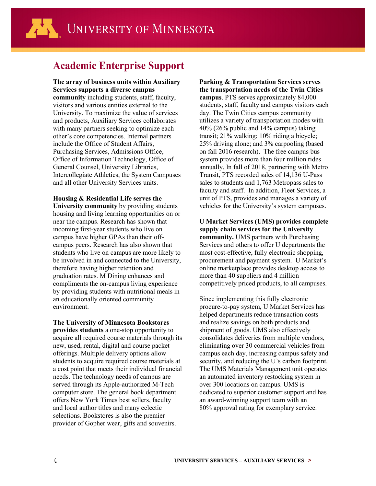### **Academic Enterprise Support**

**The array of business units within Auxiliary Services supports a diverse campus community** including students, staff, faculty, visitors and various entities external to the University. To maximize the value of services and products, Auxiliary Services collaborates with many partners seeking to optimize each other's core competencies. Internal partners include the Office of Student Affairs, Purchasing Services, Admissions Office, Office of Information Technology, Office of General Counsel, University Libraries, Intercollegiate Athletics, the System Campuses and all other University Services units.

**Housing & Residential Life serves the University community** by providing students housing and living learning opportunities on or near the campus. Research has shown that incoming first-year students who live on campus have higher GPAs than their offcampus peers. Research has also shown that students who live on campus are more likely to be involved in and connected to the University, therefore having higher retention and graduation rates. M Dining enhances and compliments the on-campus living experience by providing students with nutritional meals in an educationally oriented community environment.

**The University of Minnesota Bookstores provides students** a one-stop opportunity to acquire all required course materials through its new, used, rental, digital and course packet offerings. Multiple delivery options allow students to acquire required course materials at a cost point that meets their individual financial needs. The technology needs of campus are served through its Apple-authorized M-Tech computer store. The general book department offers New York Times best sellers, faculty and local author titles and many eclectic selections. Bookstores is also the premier provider of Gopher wear, gifts and souvenirs.

**Parking & Transportation Services serves the transportation needs of the Twin Cities campus**. PTS serves approximately 84,000 students, staff, faculty and campus visitors each day. The Twin Cities campus community utilizes a variety of transportation modes with 40% (26% public and 14% campus) taking transit; 21% walking; 10% riding a bicycle; 25% driving alone; and 3% carpooling (based on fall 2016 research). The free campus bus system provides more than four million rides annually. In fall of 2018, partnering with Metro Transit, PTS recorded sales of 14,136 U-Pass sales to students and 1,763 Metropass sales to faculty and staff. In addition, Fleet Services, a unit of PTS, provides and manages a variety of vehicles for the University's system campuses.

**U Market Services (UMS) provides complete supply chain services for the University community.** UMS partners with Purchasing Services and others to offer U departments the most cost-effective, fully electronic shopping, procurement and payment system. U Market's online marketplace provides desktop access to more than 40 suppliers and 4 million competitively priced products, to all campuses.

Since implementing this fully electronic procure-to-pay system, U Market Services has helped departments reduce transaction costs and realize savings on both products and shipment of goods. UMS also effectively consolidates deliveries from multiple vendors, eliminating over 30 commercial vehicles from campus each day, increasing campus safety and security, and reducing the U's carbon footprint. The UMS Materials Management unit operates an automated inventory restocking system in over 300 locations on campus. UMS is dedicated to superior customer support and has an award-winning support team with an 80% approval rating for exemplary service.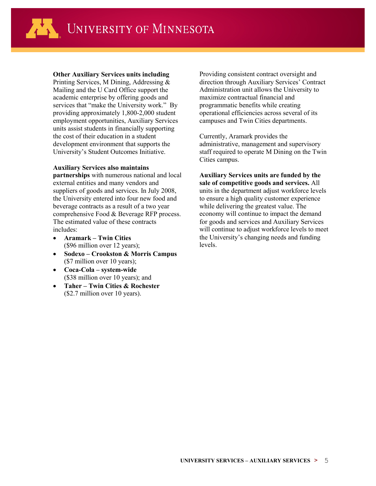

**Other Auxiliary Services units including**

Printing Services, M Dining, Addressing & Mailing and the U Card Office support the academic enterprise by offering goods and services that "make the University work." By providing approximately 1,800-2,000 student employment opportunities, Auxiliary Services units assist students in financially supporting the cost of their education in a student development environment that supports the University's Student Outcomes Initiative.

#### **Auxiliary Services also maintains**

**partnerships** with numerous national and local external entities and many vendors and suppliers of goods and services. In July 2008, the University entered into four new food and beverage contracts as a result of a two year comprehensive Food & Beverage RFP process. The estimated value of these contracts includes:

- **Aramark – Twin Cities** (\$96 million over 12 years);
- **Sodexo – Crookston & Morris Campus** (\$7 million over 10 years);
- **Coca-Cola – system-wide**  (\$38 million over 10 years); and
- **Taher – Twin Cities & Rochester**  (\$2.7 million over 10 years).

Providing consistent contract oversight and direction through Auxiliary Services' Contract Administration unit allows the University to maximize contractual financial and programmatic benefits while creating operational efficiencies across several of its campuses and Twin Cities departments.

Currently, Aramark provides the administrative, management and supervisory staff required to operate M Dining on the Twin Cities campus.

**Auxiliary Services units are funded by the sale of competitive goods and services.** All units in the department adjust workforce levels to ensure a high quality customer experience while delivering the greatest value. The economy will continue to impact the demand for goods and services and Auxiliary Services will continue to adjust workforce levels to meet the University's changing needs and funding levels.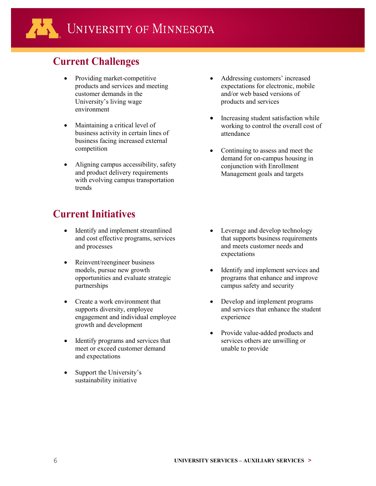## **Current Challenges**

- Providing market-competitive products and services and meeting customer demands in the University's living wage environment
- Maintaining a critical level of business activity in certain lines of business facing increased external competition
- Aligning campus accessibility, safety and product delivery requirements with evolving campus transportation trends

### **Current Initiatives**

- Identify and implement streamlined and cost effective programs, services and processes
- Reinvent/reengineer business models, pursue new growth opportunities and evaluate strategic partnerships
- Create a work environment that supports diversity, employee engagement and individual employee growth and development
- Identify programs and services that meet or exceed customer demand and expectations
- Support the University's sustainability initiative
- Addressing customers' increased expectations for electronic, mobile and/or web based versions of products and services
- Increasing student satisfaction while working to control the overall cost of attendance
- Continuing to assess and meet the demand for on-campus housing in conjunction with Enrollment Management goals and targets

- Leverage and develop technology that supports business requirements and meets customer needs and expectations
- Identify and implement services and programs that enhance and improve campus safety and security
- Develop and implement programs and services that enhance the student experience
- Provide value-added products and services others are unwilling or unable to provide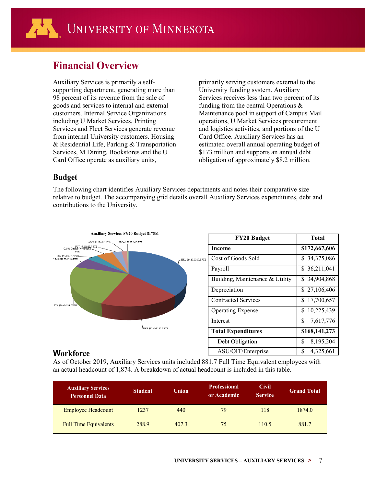### **Financial Overview**

Auxiliary Services is primarily a selfsupporting department, generating more than 98 percent of its revenue from the sale of goods and services to internal and external customers. Internal Service Organizations including U Market Services, Printing Services and Fleet Services generate revenue from internal University customers. Housing & Residential Life, Parking & Transportation Services, M Dining, Bookstores and the U Card Office operate as auxiliary units,

primarily serving customers external to the University funding system. Auxiliary Services receives less than two percent of its funding from the central Operations & Maintenance pool in support of Campus Mail operations, U Market Services procurement and logistics activities, and portions of the U Card Office. Auxiliary Services has an estimated overall annual operating budget of \$173 million and supports an annual debt obligation of approximately \$8.2 million.

### **Budget**

The following chart identifies Auxiliary Services departments and notes their comparative size relative to budget. The accompanying grid details overall Auxiliary Services expenditures, debt and contributions to the University.



#### **Workforce**

As of October 2019, Auxiliary Services units included 881.7 Full Time Equivalent employees with an actual headcount of 1,874. A breakdown of actual headcount is included in this table.

| <b>Auxiliary Services</b><br><b>Personnel Data</b> | <b>Student</b> | <b>Union</b> | <b>Professional</b><br>or Academic | <b>Civil</b><br><b>Service</b> | <b>Grand Total</b> |
|----------------------------------------------------|----------------|--------------|------------------------------------|--------------------------------|--------------------|
| <b>Employee Headcount</b>                          | 1237           | 440          | 79                                 | 118                            | 1874.0             |
| <b>Full Time Equivalents</b>                       | 288.9          | 407.3        | 75                                 | 110.5                          | 881.7              |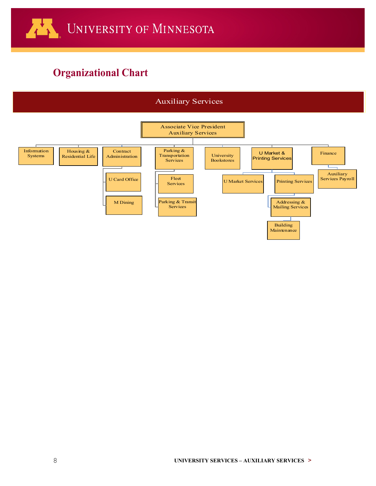# **Organizational Chart**